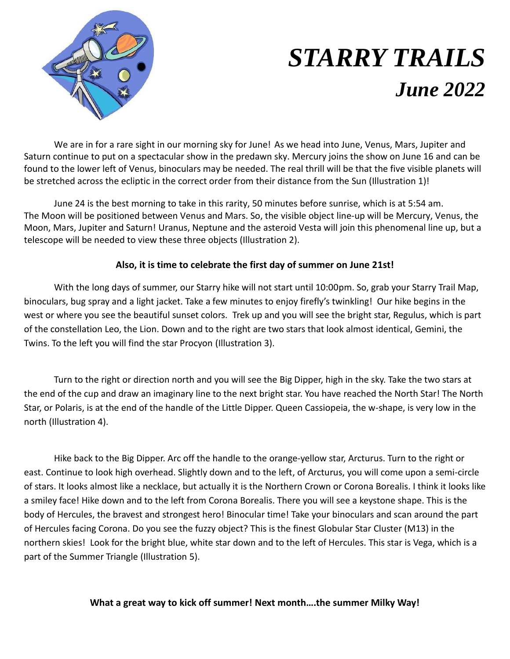

## *STARRY TRAILS June 2022*

We are in for a rare sight in our morning sky for June! As we head into June, Venus, Mars, Jupiter and Saturn continue to put on a spectacular show in the predawn sky. Mercury joins the show on June 16 and can be found to the lower left of Venus, binoculars may be needed. The real thrill will be that the five visible planets will be stretched across the ecliptic in the correct order from their distance from the Sun (Illustration 1)!

June 24 is the best morning to take in this rarity, 50 minutes before sunrise, which is at 5:54 am. The Moon will be positioned between Venus and Mars. So, the visible object line-up will be Mercury, Venus, the Moon, Mars, Jupiter and Saturn! Uranus, Neptune and the asteroid Vesta will join this phenomenal line up, but a telescope will be needed to view these three objects (Illustration 2).

## **Also, it is time to celebrate the first day of summer on June 21st!**

With the long days of summer, our Starry hike will not start until 10:00pm. So, grab your Starry Trail Map, binoculars, bug spray and a light jacket. Take a few minutes to enjoy firefly's twinkling! Our hike begins in the west or where you see the beautiful sunset colors. Trek up and you will see the bright star, Regulus, which is part of the constellation Leo, the Lion. Down and to the right are two stars that look almost identical, Gemini, the Twins. To the left you will find the star Procyon (Illustration 3).

Turn to the right or direction north and you will see the Big Dipper, high in the sky. Take the two stars at the end of the cup and draw an imaginary line to the next bright star. You have reached the North Star! The North Star, or Polaris, is at the end of the handle of the Little Dipper. Queen Cassiopeia, the w-shape, is very low in the north (Illustration 4).

Hike back to the Big Dipper. Arc off the handle to the orange-yellow star, Arcturus. Turn to the right or east. Continue to look high overhead. Slightly down and to the left, of Arcturus, you will come upon a semi-circle of stars. It looks almost like a necklace, but actually it is the Northern Crown or Corona Borealis. I think it looks like a smiley face! Hike down and to the left from Corona Borealis. There you will see a keystone shape. This is the body of Hercules, the bravest and strongest hero! Binocular time! Take your binoculars and scan around the part of Hercules facing Corona. Do you see the fuzzy object? This is the finest Globular Star Cluster (M13) in the northern skies! Look for the bright blue, white star down and to the left of Hercules. This star is Vega, which is a part of the Summer Triangle (Illustration 5).

## **What a great way to kick off summer! Next month….the summer Milky Way!**